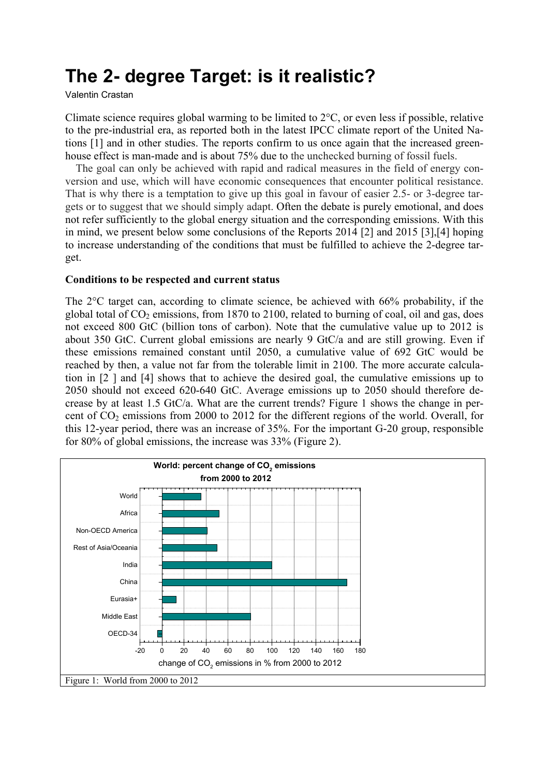# **The 2- degree Target: is it realistic?**

Valentin Crastan

Climate science requires global warming to be limited to 2°C, or even less if possible, relative to the pre-industrial era, as reported both in the latest IPCC climate report of the United Nations [1] and in other studies. The reports confirm to us once again that the increased greenhouse effect is man-made and is about 75% due to the unchecked burning of fossil fuels.

The goal can only be achieved with rapid and radical measures in the field of energy conversion and use, which will have economic consequences that encounter political resistance. That is why there is a temptation to give up this goal in favour of easier 2.5- or 3-degree targets or to suggest that we should simply adapt. Often the debate is purely emotional, and does not refer sufficiently to the global energy situation and the corresponding emissions. With this in mind, we present below some conclusions of the Reports 2014 [2] and 2015 [3],[4] hoping to increase understanding of the conditions that must be fulfilled to achieve the 2-degree target.

#### **Conditions to be respected and current status**

The 2°C target can, according to climate science, be achieved with 66% probability, if the global total of  $CO_2$  emissions, from 1870 to 2100, related to burning of coal, oil and gas, does not exceed 800 GtC (billion tons of carbon). Note that the cumulative value up to 2012 is about 350 GtC. Current global emissions are nearly 9 GtC/a and are still growing. Even if these emissions remained constant until 2050, a cumulative value of 692 GtC would be reached by then, a value not far from the tolerable limit in 2100. The more accurate calculation in [2 ] and [4] shows that to achieve the desired goal, the cumulative emissions up to 2050 should not exceed 620-640 GtC. Average emissions up to 2050 should therefore decrease by at least 1.5 GtC/a. What are the current trends? Figure 1 shows the change in percent of  $CO<sub>2</sub>$  emissions from 2000 to 2012 for the different regions of the world. Overall, for this 12-year period, there was an increase of 35%. For the important G-20 group, responsible for 80% of global emissions, the increase was 33% (Figure 2).

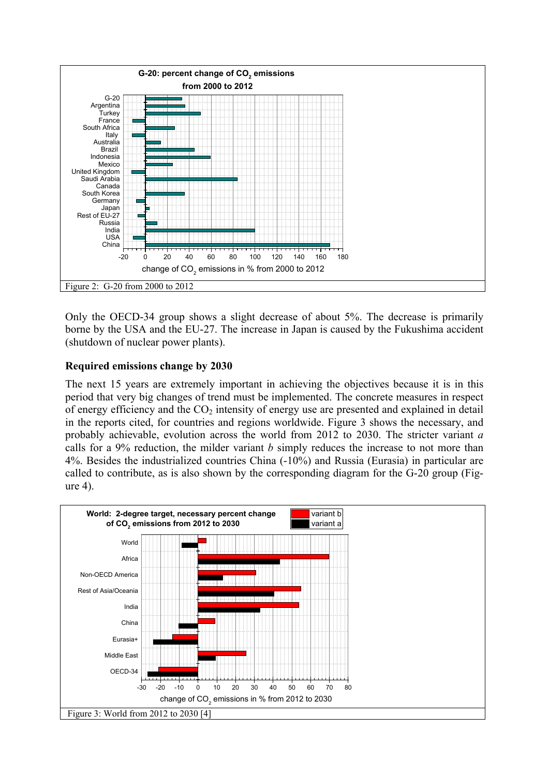

Only the OECD-34 group shows a slight decrease of about 5%. The decrease is primarily borne by the USA and the EU-27. The increase in Japan is caused by the Fukushima accident (shutdown of nuclear power plants).

## **Required emissions change by 2030**

The next 15 years are extremely important in achieving the objectives because it is in this period that very big changes of trend must be implemented. The concrete measures in respect of energy efficiency and the  $CO<sub>2</sub>$  intensity of energy use are presented and explained in detail in the reports cited, for countries and regions worldwide. Figure 3 shows the necessary, and probably achievable, evolution across the world from 2012 to 2030. The stricter variant *a*  calls for a 9% reduction, the milder variant *b* simply reduces the increase to not more than 4%. Besides the industrialized countries China (-10%) and Russia (Eurasia) in particular are called to contribute, as is also shown by the corresponding diagram for the G-20 group (Figure 4).

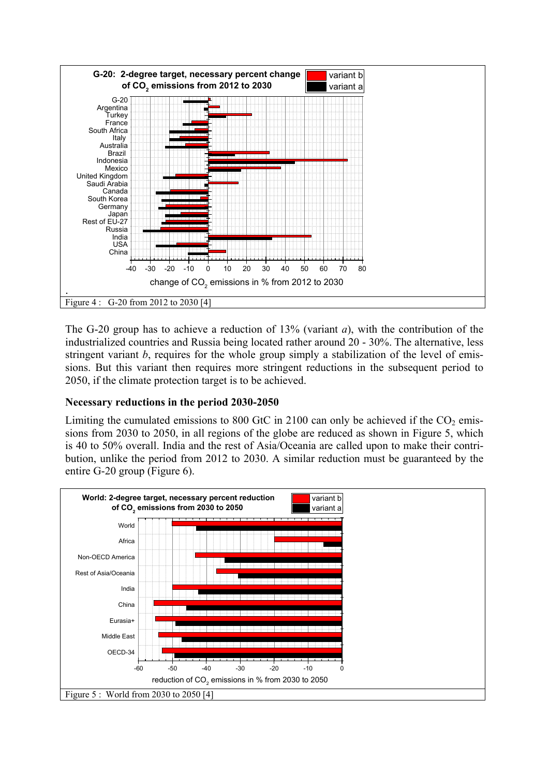

The G-20 group has to achieve a reduction of 13% (variant *a*), with the contribution of the industrialized countries and Russia being located rather around 20 - 30%. The alternative, less stringent variant *b*, requires for the whole group simply a stabilization of the level of emissions. But this variant then requires more stringent reductions in the subsequent period to 2050, if the climate protection target is to be achieved.

# **Necessary reductions in the period 2030-2050**

Limiting the cumulated emissions to 800 GtC in 2100 can only be achieved if the  $CO<sub>2</sub>$  emissions from 2030 to 2050, in all regions of the globe are reduced as shown in Figure 5, which is 40 to 50% overall. India and the rest of Asia/Oceania are called upon to make their contribution, unlike the period from 2012 to 2030. A similar reduction must be guaranteed by the entire G-20 group (Figure 6).

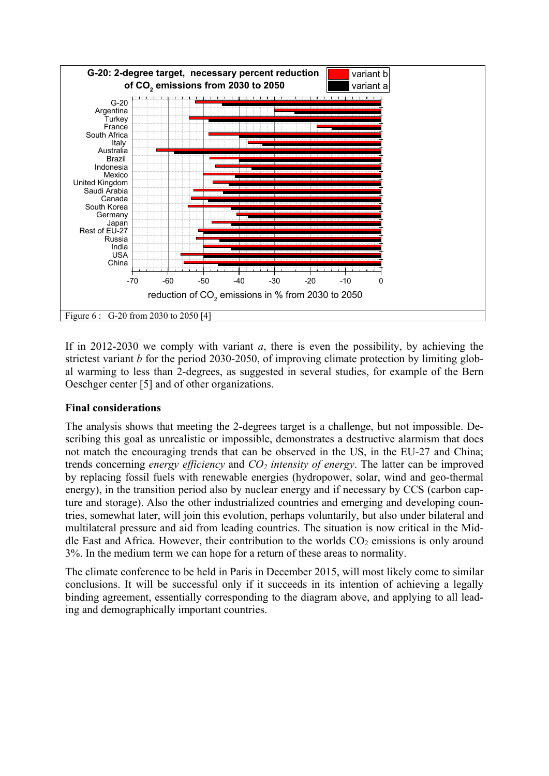

If in 2012-2030 we comply with variant *a*, there is even the possibility, by achieving the strictest variant *b* for the period 2030-2050, of improving climate protection by limiting global warming to less than 2-degrees, as suggested in several studies, for example of the Bern Oeschger center [5] and of other organizations.

### **Final considerations**

The analysis shows that meeting the 2-degrees target is a challenge, but not impossible. Describing this goal as unrealistic or impossible, demonstrates a destructive alarmism that does not match the encouraging trends that can be observed in the US, in the EU-27 and China; trends concerning *energy efficiency* and *CO<sub>2</sub> intensity of energy*. The latter can be improved by replacing fossil fuels with renewable energies (hydropower, solar, wind and geo-thermal energy), in the transition period also by nuclear energy and if necessary by CCS (carbon capture and storage). Also the other industrialized countries and emerging and developing countries, somewhat later, will join this evolution, perhaps voluntarily, but also under bilateral and multilateral pressure and aid from leading countries. The situation is now critical in the Middle East and Africa. However, their contribution to the worlds  $CO<sub>2</sub>$  emissions is only around 3%. In the medium term we can hope for a return of these areas to normality.

The climate conference to be held in Paris in December 2015, will most likely come to similar conclusions. It will be successful only if it succeeds in its intention of achieving a legally binding agreement, essentially corresponding to the diagram above, and applying to all leading and demographically important countries.